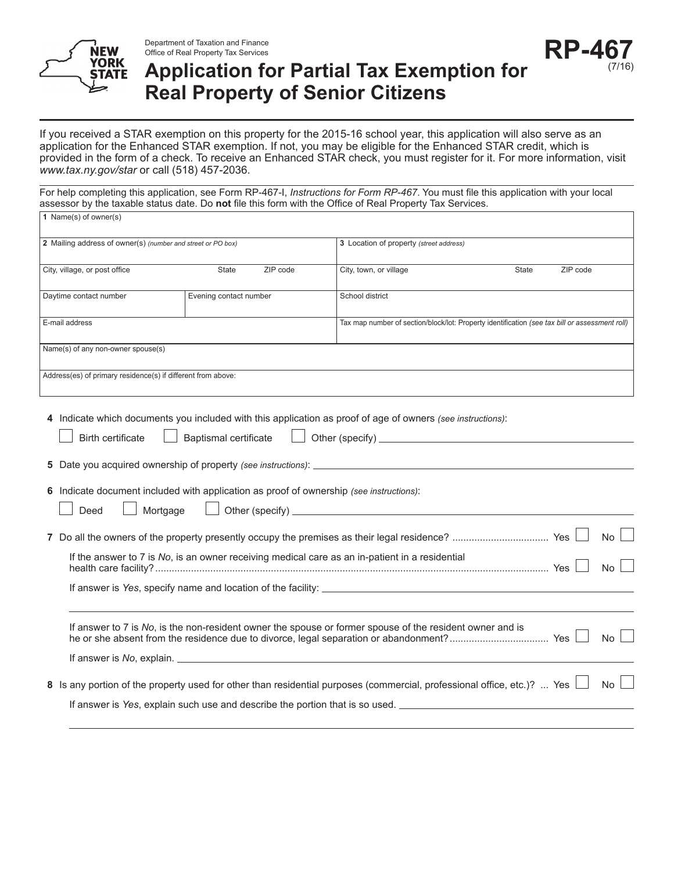

Department of Taxation and Finance Office of Real Property Tax Services

# **Application for Partial Tax Exemption for Real Property of Senior Citizens**

If you received a STAR exemption on this property for the 2015-16 school year, this application will also serve as an application for the Enhanced STAR exemption. If not, you may be eligible for the Enhanced STAR credit, which is provided in the form of a check. To receive an Enhanced STAR check, you must register for it. For more information, visit *www.tax.ny.gov/star* or call (518) 457-2036.

For help completing this application, see Form RP-467-I, *Instructions for Form RP-467*. You must file this application with your local assessor by the taxable status date. Do **not** file this form with the Office of Real Property Tax Services. **1** Name(s) of owner(s)

| $\blacksquare$ $\blacksquare$ $\blacksquare$ $\blacksquare$ $\blacksquare$ $\blacksquare$ $\blacksquare$ $\blacksquare$ $\blacksquare$ $\blacksquare$ $\blacksquare$ $\blacksquare$ $\blacksquare$ $\blacksquare$ $\blacksquare$ $\blacksquare$ $\blacksquare$ $\blacksquare$ $\blacksquare$ $\blacksquare$ $\blacksquare$ $\blacksquare$ $\blacksquare$ $\blacksquare$ $\blacksquare$ $\blacksquare$ $\blacksquare$ $\blacksquare$ $\blacksquare$ $\blacksquare$ $\blacksquare$ $\blacks$ |                              |                                                                                                                                                                                                         |                                                                                                |
|--------------------------------------------------------------------------------------------------------------------------------------------------------------------------------------------------------------------------------------------------------------------------------------------------------------------------------------------------------------------------------------------------------------------------------------------------------------------------------------------|------------------------------|---------------------------------------------------------------------------------------------------------------------------------------------------------------------------------------------------------|------------------------------------------------------------------------------------------------|
| 2 Mailing address of owner(s) (number and street or PO box)                                                                                                                                                                                                                                                                                                                                                                                                                                |                              | 3 Location of property (street address)                                                                                                                                                                 |                                                                                                |
| City, village, or post office                                                                                                                                                                                                                                                                                                                                                                                                                                                              | ZIP code<br><b>State</b>     | City, town, or village                                                                                                                                                                                  | ZIP code<br><b>State</b>                                                                       |
| Daytime contact number                                                                                                                                                                                                                                                                                                                                                                                                                                                                     | Evening contact number       | School district                                                                                                                                                                                         |                                                                                                |
| E-mail address                                                                                                                                                                                                                                                                                                                                                                                                                                                                             |                              |                                                                                                                                                                                                         | Tax map number of section/block/lot: Property identification (see tax bill or assessment roll) |
| Name(s) of any non-owner spouse(s)                                                                                                                                                                                                                                                                                                                                                                                                                                                         |                              |                                                                                                                                                                                                         |                                                                                                |
| Address(es) of primary residence(s) if different from above:                                                                                                                                                                                                                                                                                                                                                                                                                               |                              |                                                                                                                                                                                                         |                                                                                                |
| Birth certificate<br>6 Indicate document included with application as proof of ownership (see instructions):                                                                                                                                                                                                                                                                                                                                                                               | <b>Baptismal certificate</b> | 4 Indicate which documents you included with this application as proof of age of owners (see instructions):                                                                                             |                                                                                                |
| Mortgage<br>Deed                                                                                                                                                                                                                                                                                                                                                                                                                                                                           |                              |                                                                                                                                                                                                         |                                                                                                |
|                                                                                                                                                                                                                                                                                                                                                                                                                                                                                            |                              | If the answer to 7 is No, is an owner receiving medical care as an in-patient in a residential                                                                                                          | <b>No</b><br>No                                                                                |
|                                                                                                                                                                                                                                                                                                                                                                                                                                                                                            |                              | If answer to 7 is No, is the non-resident owner the spouse or former spouse of the resident owner and is                                                                                                | No                                                                                             |
|                                                                                                                                                                                                                                                                                                                                                                                                                                                                                            |                              | 8 Is any portion of the property used for other than residential purposes (commercial, professional office, etc.)?  Yes<br>If answer is Yes, explain such use and describe the portion that is so used. | No                                                                                             |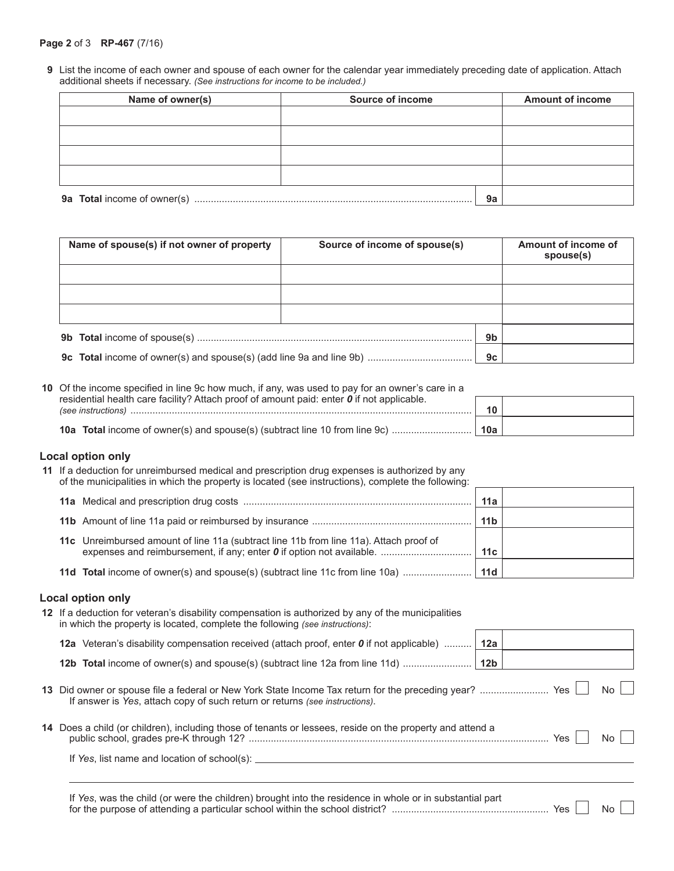#### **Page 2** of 3 **RP-467** (7/16)

**9** List the income of each owner and spouse of each owner for the calendar year immediately preceding date of application. Attach additional sheets if necessary. *(See instructions for income to be included.)*

| Name of owner(s)            | Source of income |    | <b>Amount of income</b> |
|-----------------------------|------------------|----|-------------------------|
|                             |                  |    |                         |
|                             |                  |    |                         |
|                             |                  |    |                         |
|                             |                  |    |                         |
|                             |                  |    |                         |
| 9a Total income of owner(s) |                  | 9a |                         |

| Name of spouse(s) if not owner of property | Source of income of spouse(s) |    | Amount of income of<br>spouse(s) |
|--------------------------------------------|-------------------------------|----|----------------------------------|
|                                            |                               |    |                                  |
|                                            |                               |    |                                  |
|                                            |                               |    |                                  |
|                                            |                               | 9b |                                  |
|                                            |                               | 9c |                                  |

| 10 Of the income specified in line 9c how much, if any, was used to pay for an owner's care in a                               |     |  |
|--------------------------------------------------------------------------------------------------------------------------------|-----|--|
| residential health care facility? Attach proof of amount paid: enter $\boldsymbol{0}$ if not applicable.<br>(see instructions) | 10  |  |
|                                                                                                                                | 10a |  |

#### **Local option only**

**11** If a deduction for unreimbursed medical and prescription drug expenses is authorized by any of the municipalities in which the property is located (see instructions), complete the following:

|                                                                                        | 11a             |
|----------------------------------------------------------------------------------------|-----------------|
|                                                                                        | 11 <sub>b</sub> |
| 11c Unreimbursed amount of line 11a (subtract line 11b from line 11a). Attach proof of | 11с             |
|                                                                                        |                 |

### **Local option only**

| 12 If a deduction for veteran's disability compensation is authorized by any of the municipalities<br>in which the property is located, complete the following (see instructions): |  |            |     |
|------------------------------------------------------------------------------------------------------------------------------------------------------------------------------------|--|------------|-----|
| 12a Veteran's disability compensation received (attach proof, enter 0 if not applicable)    12a                                                                                    |  |            |     |
|                                                                                                                                                                                    |  |            |     |
| If answer is Yes, attach copy of such return or returns (see instructions).                                                                                                        |  |            |     |
| 14 Does a child (or children), including those of tenants or lessees, reside on the property and attend a                                                                          |  | <b>Yes</b> | No. |
| If Yes, list name and location of school(s):                                                                                                                                       |  |            |     |
|                                                                                                                                                                                    |  |            |     |

If *Yes*, was the child (or were the children) brought into the residence in whole or in substantial part for the purpose of attending a particular school within the school district? ......................................................... Yes No